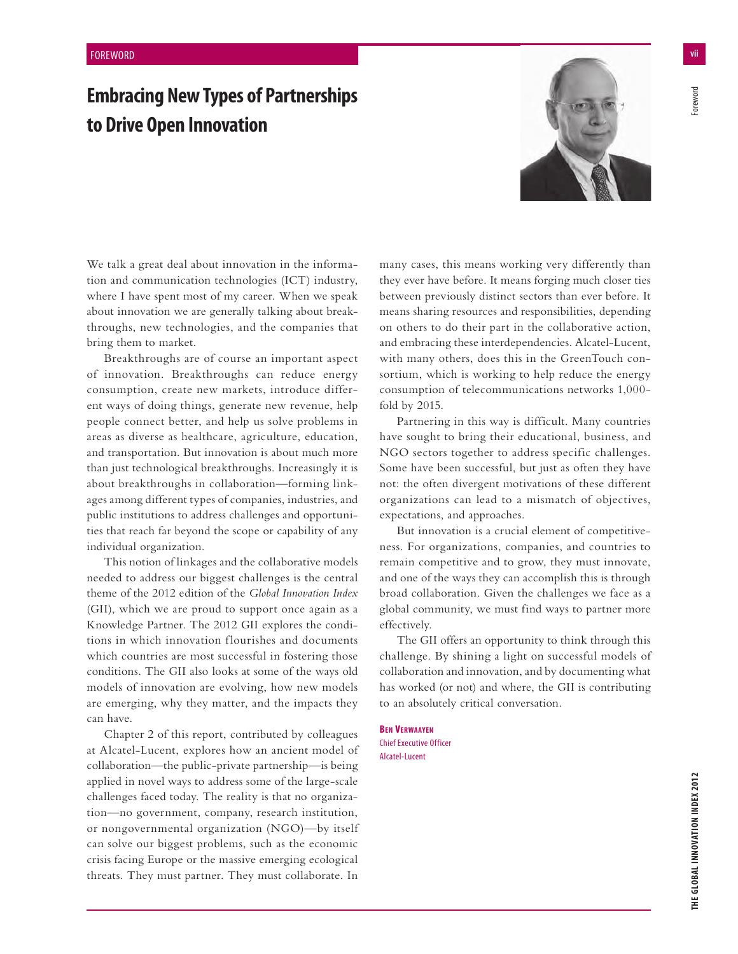## **Embracing New Types of Partnerships to Drive Open Innovation**



We talk a great deal about innovation in the information and communication technologies (ICT) industry, where I have spent most of my career. When we speak about innovation we are generally talking about breakthroughs, new technologies, and the companies that bring them to market.

Breakthroughs are of course an important aspect of innovation. Breakthroughs can reduce energy consumption, create new markets, introduce different ways of doing things, generate new revenue, help people connect better, and help us solve problems in areas as diverse as healthcare, agriculture, education, and transportation. But innovation is about much more than just technological breakthroughs. Increasingly it is about breakthroughs in collaboration—forming linkages among different types of companies, industries, and public institutions to address challenges and opportunities that reach far beyond the scope or capability of any individual organization.

This notion of linkages and the collaborative models needed to address our biggest challenges is the central theme of the 2012 edition of the *Global Innovation Index* (GII), which we are proud to support once again as a Knowledge Partner. The 2012 GII explores the conditions in which innovation flourishes and documents which countries are most successful in fostering those conditions. The GII also looks at some of the ways old models of innovation are evolving, how new models are emerging, why they matter, and the impacts they can have.

Chapter 2 of this report, contributed by colleagues at Alcatel-Lucent, explores how an ancient model of collaboration—the public-private partnership—is being applied in novel ways to address some of the large-scale challenges faced today. The reality is that no organization—no government, company, research institution, or nongovernmental organization (NGO)—by itself can solve our biggest problems, such as the economic crisis facing Europe or the massive emerging ecological threats. They must partner. They must collaborate. In

many cases, this means working very differently than they ever have before. It means forging much closer ties between previously distinct sectors than ever before. It means sharing resources and responsibilities, depending on others to do their part in the collaborative action, and embracing these interdependencies. Alcatel-Lucent, with many others, does this in the GreenTouch consortium, which is working to help reduce the energy consumption of telecommunications networks 1,000 fold by 2015.

Partnering in this way is difficult. Many countries have sought to bring their educational, business, and NGO sectors together to address specific challenges. Some have been successful, but just as often they have not: the often divergent motivations of these different organizations can lead to a mismatch of objectives, expectations, and approaches.

But innovation is a crucial element of competitiveness. For organizations, companies, and countries to remain competitive and to grow, they must innovate, and one of the ways they can accomplish this is through broad collaboration. Given the challenges we face as a global community, we must find ways to partner more effectively.

The GII offers an opportunity to think through this challenge. By shining a light on successful models of collaboration and innovation, and by documenting what has worked (or not) and where, the GII is contributing to an absolutely critical conversation.

**BEN VERWAAYEN** Chief Executive Officer Alcatel-Lucent

-oreword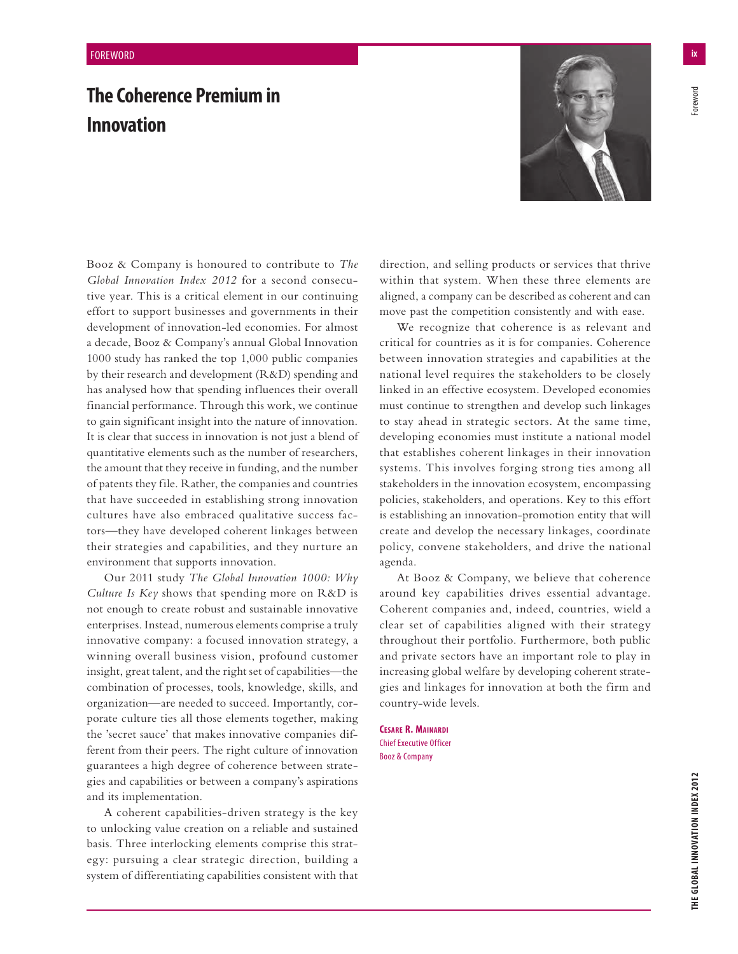## **The Coherence Premium in Innovation**



Booz & Company is honoured to contribute to *The Global Innovation Index 2012* for a second consecutive year. This is a critical element in our continuing effort to support businesses and governments in their development of innovation-led economies. For almost a decade, Booz & Company's annual Global Innovation 1000 study has ranked the top 1,000 public companies by their research and development (R&D) spending and has analysed how that spending influences their overall financial performance. Through this work, we continue to gain significant insight into the nature of innovation. It is clear that success in innovation is not just a blend of quantitative elements such as the number of researchers, the amount that they receive in funding, and the number of patents they file. Rather, the companies and countries that have succeeded in establishing strong innovation cultures have also embraced qualitative success factors—they have developed coherent linkages between their strategies and capabilities, and they nurture an environment that supports innovation.

Our 2011 study *The Global Innovation 1000: Why Culture Is Key* shows that spending more on R&D is not enough to create robust and sustainable innovative enterprises. Instead, numerous elements comprise a truly innovative company: a focused innovation strategy, a winning overall business vision, profound customer insight, great talent, and the right set of capabilities—the combination of processes, tools, knowledge, skills, and organization—are needed to succeed. Importantly, corporate culture ties all those elements together, making the 'secret sauce' that makes innovative companies different from their peers. The right culture of innovation guarantees a high degree of coherence between strategies and capabilities or between a company's aspirations and its implementation.

A coherent capabilities-driven strategy is the key to unlocking value creation on a reliable and sustained basis. Three interlocking elements comprise this strategy: pursuing a clear strategic direction, building a system of differentiating capabilities consistent with that direction, and selling products or services that thrive within that system. When these three elements are aligned, a company can be described as coherent and can move past the competition consistently and with ease.

We recognize that coherence is as relevant and critical for countries as it is for companies. Coherence between innovation strategies and capabilities at the national level requires the stakeholders to be closely linked in an effective ecosystem. Developed economies must continue to strengthen and develop such linkages to stay ahead in strategic sectors. At the same time, developing economies must institute a national model that establishes coherent linkages in their innovation systems. This involves forging strong ties among all stakeholders in the innovation ecosystem, encompassing policies, stakeholders, and operations. Key to this effort is establishing an innovation-promotion entity that will create and develop the necessary linkages, coordinate policy, convene stakeholders, and drive the national agenda.

At Booz & Company, we believe that coherence around key capabilities drives essential advantage. Coherent companies and, indeed, countries, wield a clear set of capabilities aligned with their strategy throughout their portfolio. Furthermore, both public and private sectors have an important role to play in increasing global welfare by developing coherent strategies and linkages for innovation at both the firm and country-wide levels.

**CESARE R. MAINARDI** Chief Executive Officer Booz & Company

oreword